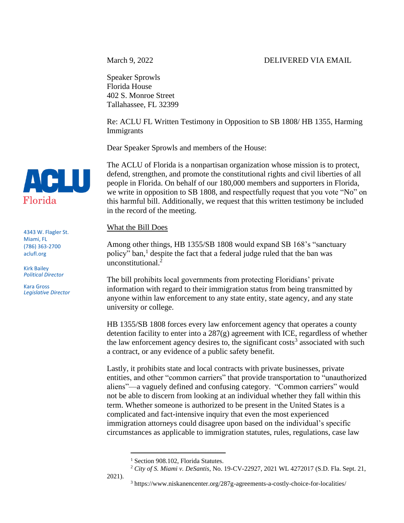Speaker Sprowls Florida House 402 S. Monroe Street Tallahassee, FL 32399

Re: ACLU FL Written Testimony in Opposition to SB 1808/ HB 1355, Harming Immigrants

Dear Speaker Sprowls and members of the House:

The ACLU of Florida is a nonpartisan organization whose mission is to protect, defend, strengthen, and promote the constitutional rights and civil liberties of all people in Florida. On behalf of our 180,000 members and supporters in Florida, we write in opposition to SB 1808, and respectfully request that you vote "No" on this harmful bill. Additionally, we request that this written testimony be included in the record of the meeting.

What the Bill Does

Among other things, HB 1355/SB 1808 would expand SB 168's "sanctuary policy" ban,<sup>1</sup> despite the fact that a federal judge ruled that the ban was unconstitutional.<sup>2</sup>

The bill prohibits local governments from protecting Floridians' private information with regard to their immigration status from being transmitted by anyone within law enforcement to any state entity, state agency, and any state university or college.

HB 1355/SB 1808 forces every law enforcement agency that operates a county detention facility to enter into a 287(g) agreement with ICE, regardless of whether the law enforcement agency desires to, the significant costs<sup>3</sup> associated with such a contract, or any evidence of a public safety benefit.

Lastly, it prohibits state and local contracts with private businesses, private entities, and other "common carriers" that provide transportation to "unauthorized aliens"—a vaguely defined and confusing category. "Common carriers" would not be able to discern from looking at an individual whether they fall within this term. Whether someone is authorized to be present in the United States is a complicated and fact-intensive inquiry that even the most experienced immigration attorneys could disagree upon based on the individual's specific circumstances as applicable to immigration statutes, rules, regulations, case law



```
4343 W. Flagler St.
Miami, FL
(786) 363-2700
aclufl.org
```
Kirk Bailey *Political Director*

Kara Gross *Legislative Director*

<sup>&</sup>lt;sup>1</sup> Section 908.102, Florida Statutes.

<sup>2</sup> *City of S. Miami v. DeSantis*, No. 19-CV-22927, 2021 WL 4272017 (S.D. Fla. Sept. 21,

<sup>3</sup> https://www.niskanencenter.org/287g-agreements-a-costly-choice-for-localities/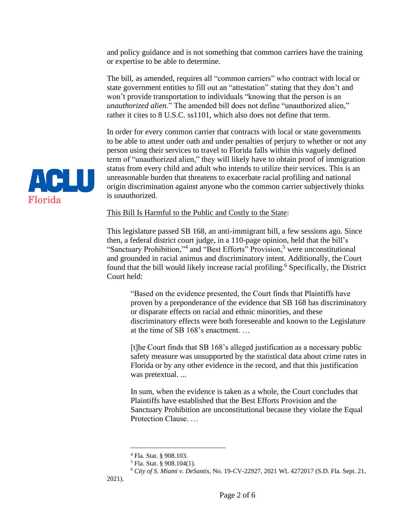and policy guidance and is not something that common carriers have the training or expertise to be able to determine.

The bill, as amended, requires all "common carriers" who contract with local or state government entities to fill out an "attestation" stating that they don't and won't provide transportation to individuals "knowing that the person is an *unauthorized alien*." The amended bill does not define "unauthorized alien," rather it cites to 8 U.S.C. ss1101, which also does not define that term.

In order for every common carrier that contracts with local or state governments to be able to attest under oath and under penalties of perjury to whether or not any person using their services to travel to Florida falls within this vaguely defined term of "unauthorized alien," they will likely have to obtain proof of immigration status from every child and adult who intends to utilize their services. This is an unreasonable burden that threatens to exacerbate racial profiling and national origin discrimination against anyone who the common carrier subjectively thinks is unauthorized.

#### This Bill Is Harmful to the Public and Costly to the State:

This legislature passed SB 168, an anti-immigrant bill, a few sessions ago. Since then, a federal district court judge, in a 110-page opinion, held that the bill's "Sanctuary Prohibition,"<sup>4</sup> and "Best Efforts" Provision,<sup>5</sup> were unconstitutional and grounded in racial animus and discriminatory intent. Additionally, the Court found that the bill would likely increase racial profiling.<sup>6</sup> Specifically, the District Court held:

"Based on the evidence presented, the Court finds that Plaintiffs have proven by a preponderance of the evidence that SB 168 has discriminatory or disparate effects on racial and ethnic minorities, and these discriminatory effects were both foreseeable and known to the Legislature at the time of SB 168's enactment. …

[t]he Court finds that SB 168's alleged justification as a necessary public safety measure was unsupported by the statistical data about crime rates in Florida or by any other evidence in the record, and that this justification was pretextual. ...

In sum, when the evidence is taken as a whole, the Court concludes that Plaintiffs have established that the Best Efforts Provision and the Sanctuary Prohibition are unconstitutional because they violate the Equal Protection Clause. …

2021).



<sup>4</sup> Fla. Stat. § 908.103.

 $<sup>5</sup>$  Fla. Stat. § 908.104(1).</sup>

<sup>6</sup> *City of S. Miami v. DeSantis,* No. 19-CV-22927, 2021 WL 4272017 (S.D. Fla. Sept. 21,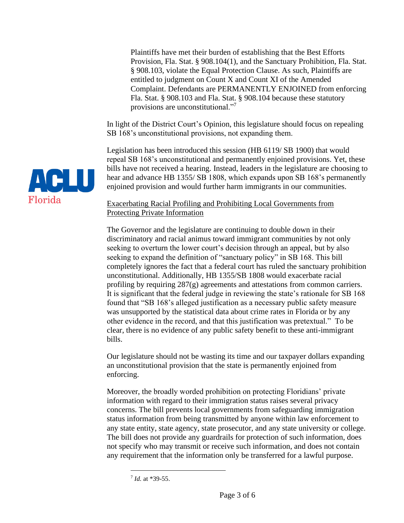Plaintiffs have met their burden of establishing that the Best Efforts Provision, Fla. Stat. § 908.104(1), and the Sanctuary Prohibition, Fla. Stat. § 908.103, violate the Equal Protection Clause. As such, Plaintiffs are entitled to judgment on Count X and Count XI of the Amended Complaint. Defendants are PERMANENTLY ENJOINED from enforcing Fla. Stat. § 908.103 and Fla. Stat. § 908.104 because these statutory provisions are unconstitutional."<sup>7</sup>

In light of the District Court's Opinion, this legislature should focus on repealing SB 168's unconstitutional provisions, not expanding them.

Legislation has been introduced this session (HB 6119/ SB 1900) that would repeal SB 168's unconstitutional and permanently enjoined provisions. Yet, these bills have not received a hearing. Instead, leaders in the legislature are choosing to hear and advance HB 1355/ SB 1808, which expands upon SB 168's permanently enjoined provision and would further harm immigrants in our communities.

# Exacerbating Racial Profiling and Prohibiting Local Governments from Protecting Private Information

The Governor and the legislature are continuing to double down in their discriminatory and racial animus toward immigrant communities by not only seeking to overturn the lower court's decision through an appeal, but by also seeking to expand the definition of "sanctuary policy" in SB 168. This bill completely ignores the fact that a federal court has ruled the sanctuary prohibition unconstitutional. Additionally, HB 1355/SB 1808 would exacerbate racial profiling by requiring 287(g) agreements and attestations from common carriers. It is significant that the federal judge in reviewing the state's rationale for SB 168 found that "SB 168's alleged justification as a necessary public safety measure was unsupported by the statistical data about crime rates in Florida or by any other evidence in the record, and that this justification was pretextual." To be clear, there is no evidence of any public safety benefit to these anti-immigrant bills.

Our legislature should not be wasting its time and our taxpayer dollars expanding an unconstitutional provision that the state is permanently enjoined from enforcing.

Moreover, the broadly worded prohibition on protecting Floridians' private information with regard to their immigration status raises several privacy concerns. The bill prevents local governments from safeguarding immigration status information from being transmitted by anyone within law enforcement to any state entity, state agency, state prosecutor, and any state university or college. The bill does not provide any guardrails for protection of such information, does not specify who may transmit or receive such information, and does not contain any requirement that the information only be transferred for a lawful purpose.



<sup>7</sup> *Id.* at \*39-55.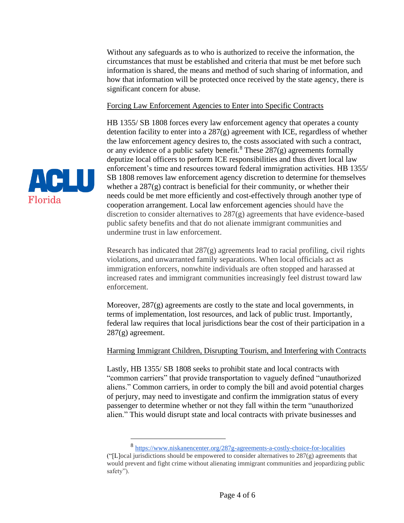Without any safeguards as to who is authorized to receive the information, the circumstances that must be established and criteria that must be met before such information is shared, the means and method of such sharing of information, and how that information will be protected once received by the state agency, there is significant concern for abuse.

## Forcing Law Enforcement Agencies to Enter into Specific Contracts

HB 1355/ SB 1808 forces every law enforcement agency that operates a county detention facility to enter into a 287(g) agreement with ICE, regardless of whether the law enforcement agency desires to, the costs associated with such a contract, or any evidence of a public safety benefit.<sup>8</sup> These  $287(g)$  agreements formally deputize local officers to perform ICE responsibilities and thus divert local law enforcement's time and resources toward federal immigration activities. HB 1355/ SB 1808 removes law enforcement agency discretion to determine for themselves whether a  $287(g)$  contract is beneficial for their community, or whether their needs could be met more efficiently and cost-effectively through another type of cooperation arrangement. Local law enforcement agencies should have the discretion to consider alternatives to 287(g) agreements that have evidence-based public safety benefits and that do not alienate immigrant communities and undermine trust in law enforcement.

Research has indicated that 287(g) agreements lead to racial profiling, civil rights violations, and unwarranted family separations. When local officials act as immigration enforcers, nonwhite individuals are often stopped and harassed at increased rates and immigrant communities increasingly feel distrust toward law enforcement.

Moreover,  $287(g)$  agreements are costly to the state and local governments, in terms of implementation, lost resources, and lack of public trust. Importantly, federal law requires that local jurisdictions bear the cost of their participation in a 287(g) agreement.

## Harming Immigrant Children, Disrupting Tourism, and Interfering with Contracts

Lastly, HB 1355/ SB 1808 seeks to prohibit state and local contracts with "common carriers" that provide transportation to vaguely defined "unauthorized aliens." Common carriers, in order to comply the bill and avoid potential charges of perjury, may need to investigate and confirm the immigration status of every passenger to determine whether or not they fall within the term "unauthorized alien." This would disrupt state and local contracts with private businesses and



<sup>8</sup> <https://www.niskanencenter.org/287g-agreements-a-costly-choice-for-localities> ("[L]ocal jurisdictions should be empowered to consider alternatives to  $287(g)$  agreements that would prevent and fight crime without alienating immigrant communities and jeopardizing public safety").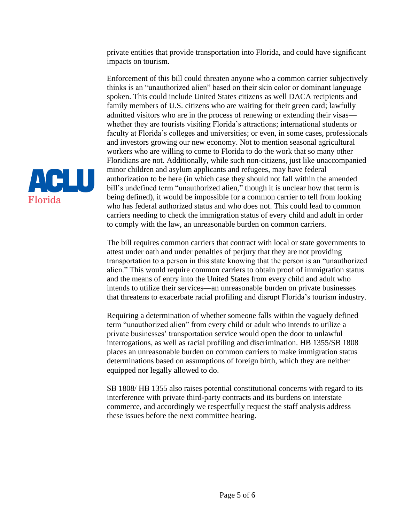private entities that provide transportation into Florida, and could have significant impacts on tourism.

Enforcement of this bill could threaten anyone who a common carrier subjectively thinks is an "unauthorized alien" based on their skin color or dominant language spoken. This could include United States citizens as well DACA recipients and family members of U.S. citizens who are waiting for their green card; lawfully admitted visitors who are in the process of renewing or extending their visas whether they are tourists visiting Florida's attractions; international students or faculty at Florida's colleges and universities; or even, in some cases, professionals and investors growing our new economy. Not to mention seasonal agricultural workers who are willing to come to Florida to do the work that so many other Floridians are not. Additionally, while such non-citizens, just like unaccompanied minor children and asylum applicants and refugees, may have federal authorization to be here (in which case they should not fall within the amended bill's undefined term "unauthorized alien," though it is unclear how that term is being defined), it would be impossible for a common carrier to tell from looking who has federal authorized status and who does not. This could lead to common carriers needing to check the immigration status of every child and adult in order to comply with the law, an unreasonable burden on common carriers.

The bill requires common carriers that contract with local or state governments to attest under oath and under penalties of perjury that they are not providing transportation to a person in this state knowing that the person is an "unauthorized alien." This would require common carriers to obtain proof of immigration status and the means of entry into the United States from every child and adult who intends to utilize their services—an unreasonable burden on private businesses that threatens to exacerbate racial profiling and disrupt Florida's tourism industry.

Requiring a determination of whether someone falls within the vaguely defined term "unauthorized alien" from every child or adult who intends to utilize a private businesses' transportation service would open the door to unlawful interrogations, as well as racial profiling and discrimination. HB 1355/SB 1808 places an unreasonable burden on common carriers to make immigration status determinations based on assumptions of foreign birth, which they are neither equipped nor legally allowed to do.

SB 1808/ HB 1355 also raises potential constitutional concerns with regard to its interference with private third-party contracts and its burdens on interstate commerce, and accordingly we respectfully request the staff analysis address these issues before the next committee hearing.